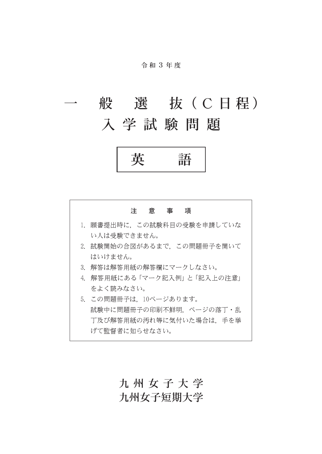#### 令 和 3 年 度

# 般 選 抜 (C日程) 入学試験問題

英 語



## 九州女子大学 九州女子短期大学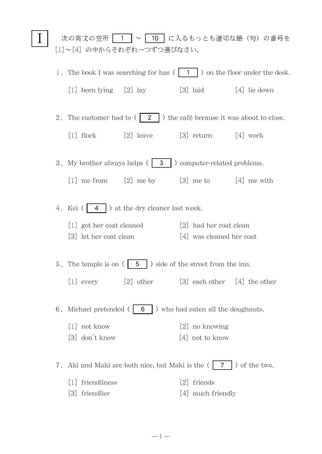|                                                                           |                                                                   |                                                                         |                          | 次の英文の空所   1   ~   10   に入るもっとも適切な語(句)の番号を                                  |
|---------------------------------------------------------------------------|-------------------------------------------------------------------|-------------------------------------------------------------------------|--------------------------|----------------------------------------------------------------------------|
|                                                                           |                                                                   | [1]~[4] の中からそれぞれ一つずつ選びなさい。                                              |                          |                                                                            |
|                                                                           |                                                                   |                                                                         |                          | 1. The book I was searching for has $( 1 1 )$ on the floor under the desk. |
|                                                                           | [1] been lying $[2]$ lay                                          |                                                                         | $[3]$ laid               | $[4]$ lie down                                                             |
| 2. The customer had to $(2 \mid)$ the café because it was about to close. |                                                                   |                                                                         |                          |                                                                            |
|                                                                           | $[1]$ flock                                                       | $[2]$ leave                                                             | $[3]$ return $[4]$ work  |                                                                            |
|                                                                           |                                                                   | 3. My brother always helps $(3 \mid 3 \mid)$ computer-related problems. |                          |                                                                            |
|                                                                           | [1] me from                                                       | $[2]$ me by $[3]$ me to $[4]$ me with                                   |                          |                                                                            |
| 4. Kei $( 4 )$ at the dry cleaner last week.                              |                                                                   |                                                                         |                          |                                                                            |
|                                                                           | [1] got her coat cleaned                                          |                                                                         | [2] had her coat clean   |                                                                            |
|                                                                           | [3] let her coat clean                                            |                                                                         | [4] was cleaned her coat |                                                                            |
|                                                                           |                                                                   | 5. The temple is on $( 5 \ 5 \ )$ side of the street from the inn.      |                          |                                                                            |
|                                                                           | $[1]$ every                                                       | $[2]$ other $[3]$ each other $[4]$ the other                            |                          |                                                                            |
| 6. Michael pretended ( $\boxed{6}$ ) who had eaten all the doughnuts.     |                                                                   |                                                                         |                          |                                                                            |
|                                                                           | [1] not know                                                      |                                                                         | [2] no knowing           |                                                                            |
|                                                                           | [3] don't know                                                    |                                                                         | [4] not to know          |                                                                            |
|                                                                           | 7. Aki and Maki are both nice, but Maki is the (<br>) of the two. |                                                                         |                          |                                                                            |
|                                                                           | [1] friendliness                                                  |                                                                         | [2] friends              |                                                                            |
|                                                                           | [3] friendlier                                                    |                                                                         | [4] much friendly        |                                                                            |

 $-\,1-\,$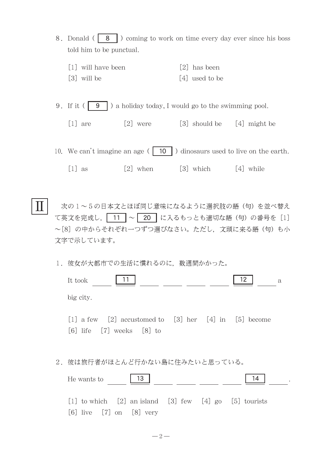- 8. Donald ( $\boxed{8}$ ) coming to work on time every day ever since his boss told him to be punctual.
	- [1] will have been [2] has been  $\lceil 3 \rceil$  will be  $\lceil 4 \rceil$  used to be
- 9. If it ( $\boxed{9}$ ) a holiday today, I would go to the swimming pool.
	- [1] are  $[2]$  were  $[3]$  should be  $[4]$  might be

10. We can't imagine an age ( $\boxed{10}$ ) dinosaurs used to live on the earth.

 $[1]$  as  $[2]$  when  $[3]$  which  $[4]$  while

次の1~5の日本文とほぼ同じ意味になるように選択肢の語(句)を並べ替え て英文を完成し, 11 ~ 20 に入るもっとも適切な語(句)の番号を [1] 〜[8]の中からそれぞれ一つずつ選びなさい。ただし,文頭に来る語(句)も小 文字で示しています。  $\rm I\hspace{-.1em}I\hspace{-.1em}I$ 

1. 彼女が大都市での生活に慣れるのに、数週間かかった。

| 12.<br>11<br>It took<br>$\mathbf{a}$                                                           |
|------------------------------------------------------------------------------------------------|
| big city.                                                                                      |
| [1] a few $[2]$ accustomed to $[3]$ her $[4]$ in $[5]$ become<br>[6] life $[7]$ weeks $[8]$ to |
| 2. 彼は旅行者がほとんど行かない島に住みたいと思っている。                                                                 |
| 13<br>14<br>He wants to                                                                        |
| [1] to which $[2]$ an island $[3]$ few $[4]$ go $[5]$ tourists                                 |

 $[6]$  live  $[7]$  on  $[8]$  very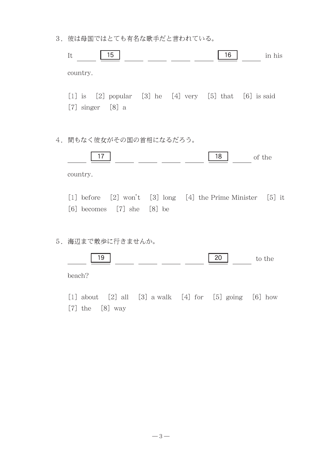3. 彼は母国ではとても有名な歌手だと言われている。

|    | 15<br>16<br>It<br>in his                                                                                                                                     |
|----|--------------------------------------------------------------------------------------------------------------------------------------------------------------|
|    | country.                                                                                                                                                     |
|    | $[1]$ is $[2]$ popular $[3]$ he $[4]$ very $[5]$ that $[6]$ is said<br>$[7]$ singer $[8]$ a                                                                  |
| 4. | 間もなく彼女がその国の首相になるだろう。                                                                                                                                         |
|    | 17<br>18<br>of the                                                                                                                                           |
|    | country.                                                                                                                                                     |
|    | $[2]$ won't $[3]$ long $[4]$ the Prime Minister $[5]$ it<br>$\lceil 1 \rceil$ before<br>$\lceil 6 \rceil$ becomes $\lceil 7 \rceil$ she $\lceil 8 \rceil$ be |
|    | 5. 海辺まで散歩に行きませんか。                                                                                                                                            |
|    | 19<br>20<br>to the                                                                                                                                           |
|    | beach?                                                                                                                                                       |

[1] about  $[2]$  all  $[3]$  a walk  $[4]$  for  $[5]$  going  $[6]$  how  $[7]$  the  $[8]$  way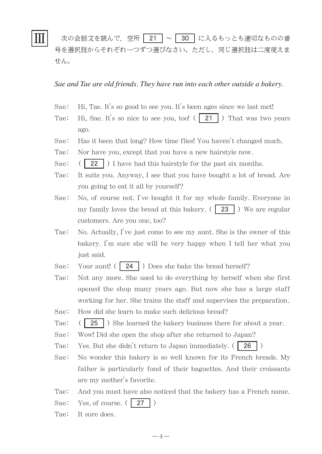## Ⅲ

次の会話文を読んで、空所 | 21 | ~ | 30 | に入るもっとも適切なものの番 号を選択肢からそれぞれ一つずつ選びなさい。ただし,同じ選択肢は二度使えま せん。

#### *Sae and Tae are old friends. They have run into each other outside a bakery.*

- Sae: Hi, Tae. It's so good to see you. It's been ages since we last met!
- Tae: Hi, Sae. It's so nice to see you, too!  $( 21 )$  That was two years ago.
- Sae: Has it been that long? How time flies! You haven't changed much.
- Tae: Nor have you, except that you have a new hairstyle now.
- Sae:  $(22)$  I have had this hairstyle for the past six months.
- Tae: It suits you. Anyway, I see that you have bought a lot of bread. Are you going to eat it all by yourself?
- Sae: No, of course not. I've bought it for my whole family. Everyone in my family loves the bread at this bakery. ( $\boxed{23}$ ) We are regular customers. Are you one, too?
- Tae: No. Actually, I've just come to see my aunt. She is the owner of this bakery. I'm sure she will be very happy when I tell her what you just said.
- Sae: Your aunt! ( $\boxed{24}$ ) Does she bake the bread herself?
- Tae: Not any more. She used to do everything by herself when she first opened the shop many years ago. But now she has a large staff working for her. She trains the staff and supervises the preparation.
- Sae: How did she learn to make such delicious bread?
- Tae:  $(|25|)$  She learned the bakery business there for about a year.
- Sae: Wow! Did she open the shop after she returned to Japan?
- Tae: Yes. But she didn't return to Japan immediately.  $( 26 )$
- Sae: No wonder this bakery is so well known for its French breads. My father is particularly fond of their baguettes. And their croissants are my mother's favorite.
- Tae: And you must have also noticed that the bakery has a French name.
- Sae: Yes, of course.  $(27)$
- Tae: It sure does.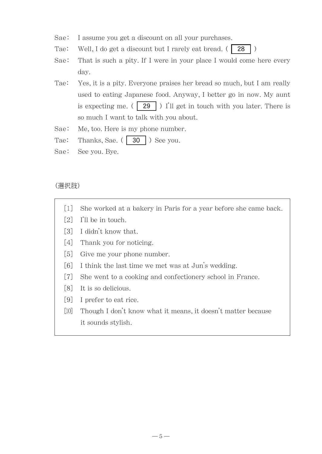- Sae: I assume you get a discount on all your purchases.
- Tae: Well, I do get a discount but I rarely eat bread. ( 28
- Sae: That is such a pity. If I were in your place I would come here every day.
- Tae: Yes, it is a pity. Everyone praises her bread so much, but I am really used to eating Japanese food. Anyway, I better go in now. My aunt is expecting me.  $( 29 )$  ) I'll get in touch with you later. There is so much I want to talk with you about.
- Sae: Me, too. Here is my phone number.
- Tae: Thanks, Sae.  $( \cdot \cdot \cdot )$  30  $)$  See you.
- Sae: See you. Bye.

#### (選択肢)

- [1] She worked at a bakery in Paris for a year before she came back.
- [2] I'll be in touch.
- [3] I didn't know that.
- [4] Thank you for noticing.
- [5] Give me your phone number.
- [6] I think the last time we met was at Jun's wedding.
- [7] She went to a cooking and confectionery school in France.
- [8] It is so delicious.
- [9] I prefer to eat rice.
- [10] Though I don't know what it means, it doesn't matter because it sounds stylish.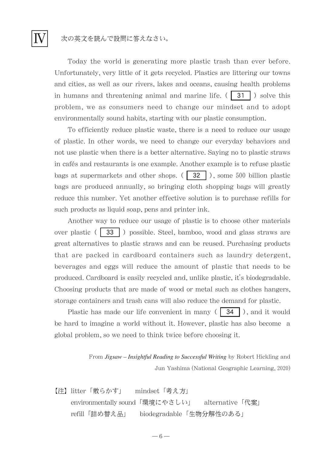## 次の英文を読んで設問に答えなさい。

Ⅳ

Today the world is generating more plastic trash than ever before. Unfortunately, very little of it gets recycled. Plastics are littering our towns and cities, as well as our rivers, lakes and oceans, causing health problems in humans and threatening animal and marine life.  $( \begin{array}{c} \cdot \\ \cdot \end{array} )$  solve this problem, we as consumers need to change our mindset and to adopt environmentally sound habits, starting with our plastic consumption.

To efficiently reduce plastic waste, there is a need to reduce our usage of plastic. In other words, we need to change our everyday behaviors and not use plastic when there is a better alternative. Saying no to plastic straws in cafés and restaurants is one example. Another example is to refuse plastic bags at supermarkets and other shops.  $\left(\sqrt{32}\right)$ , some 500 billion plastic bags are produced annually, so bringing cloth shopping bags will greatly reduce this number. Yet another effective solution is to purchase refills for such products as liquid soap, pens and printer ink.

Another way to reduce our usage of plastic is to choose other materials over plastic  $($  33  $)$  possible. Steel, bamboo, wood and glass straws are great alternatives to plastic straws and can be reused. Purchasing products that are packed in cardboard containers such as laundry detergent, beverages and eggs will reduce the amount of plastic that needs to be produced. Cardboard is easily recycled and, unlike plastic, it's biodegradable. Choosing products that are made of wood or metal such as clothes hangers, storage containers and trash cans will also reduce the demand for plastic.

Plastic has made our life convenient in many  $( | 34 | )$ , and it would be hard to imagine a world without it. However, plastic has also become a global problem, so we need to think twice before choosing it.

> From *Jigsaw – Insightful Reading to Successful Writing* by Robert Hickling and Jun Yashima (National Geographic Learning, 2020)

【注】litter「散らかす」 mindset「考え方」 environmentally sound「環境にやさしい」 alternative「代案」 refill「詰め替え品」 biodegradable「生物分解性のある」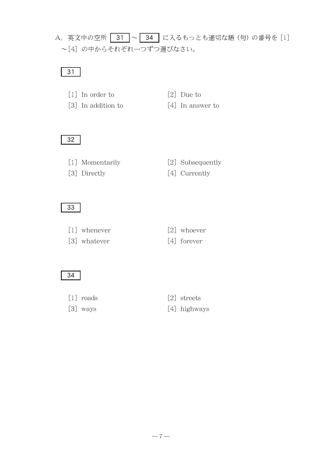## A. 英文中の空所 31 ~ 34 | に入るもっとも適切な語(句)の番号を [1] ~[4] の中からそれぞれ一つずつ選びなさい。

## 31

- [1] In order to [2] Due to
- 
- [3] In addition to [4] In answer to
	-

### 32

- 
- [1] Momentarily [2] Subsequently
- [3] Directly [4] Currently

### 33

- [1] whenever [2] whoever
- [3] whatever [4] forever
- -

#### 34

- 
- 
- $\lceil 1 \rceil$  roads  $\lceil 2 \rceil$  streets
- $[3]$  ways  $[4]$  highways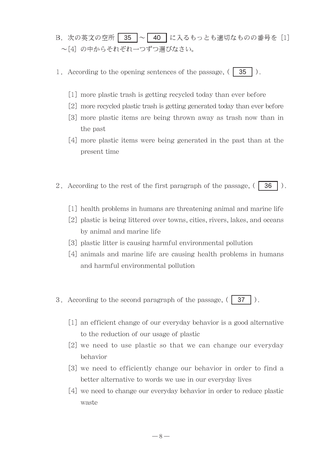- B. 次の英文の空所 35 ~ 40 に入るもっとも適切なものの番号を [1] ~[4] の中からそれぞれ一つずつ選びなさい。
- 1. According to the opening sentences of the passage,  $( 35 )$ .
	- [1] more plastic trash is getting recycled today than ever before
	- [2] more recycled plastic trash is getting generated today than ever before
	- [3] more plastic items are being thrown away as trash now than in the past
	- [4] more plastic items were being generated in the past than at the present time
- 2. According to the rest of the first paragraph of the passage,  $( \begin{bmatrix} 36 \end{bmatrix} )$ .
	- [1] health problems in humans are threatening animal and marine life
	- [2] plastic is being littered over towns, cities, rivers, lakes, and oceans by animal and marine life
	- [3] plastic litter is causing harmful environmental pollution
	- [4] animals and marine life are causing health problems in humans and harmful environmental pollution
- 3. According to the second paragraph of the passage,  $(37)$ .
	- [1] an efficient change of our everyday behavior is a good alternative to the reduction of our usage of plastic
	- [2] we need to use plastic so that we can change our everyday behavior
	- [3] we need to efficiently change our behavior in order to find a better alternative to words we use in our everyday lives
	- [4] we need to change our everyday behavior in order to reduce plastic waste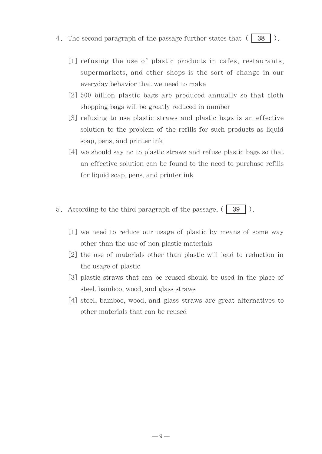- 4. The second paragraph of the passage further states that  $( 38 )$ .
	- [1] refusing the use of plastic products in cafés, restaurants, supermarkets, and other shops is the sort of change in our everyday behavior that we need to make
		- [2]500 billion plastic bags are produced annually so that cloth shopping bags will be greatly reduced in number
		- [3] refusing to use plastic straws and plastic bags is an effective solution to the problem of the refills for such products as liquid soap, pens, and printer ink
		- [4] we should say no to plastic straws and refuse plastic bags so that an effective solution can be found to the need to purchase refills for liquid soap, pens, and printer ink
- 5. According to the third paragraph of the passage,  $( 39 \mid ).$ 
	- [1] we need to reduce our usage of plastic by means of some way other than the use of non-plastic materials
	- [2] the use of materials other than plastic will lead to reduction in the usage of plastic
	- [3] plastic straws that can be reused should be used in the place of steel, bamboo, wood, and glass straws
	- [4] steel, bamboo, wood, and glass straws are great alternatives to other materials that can be reused